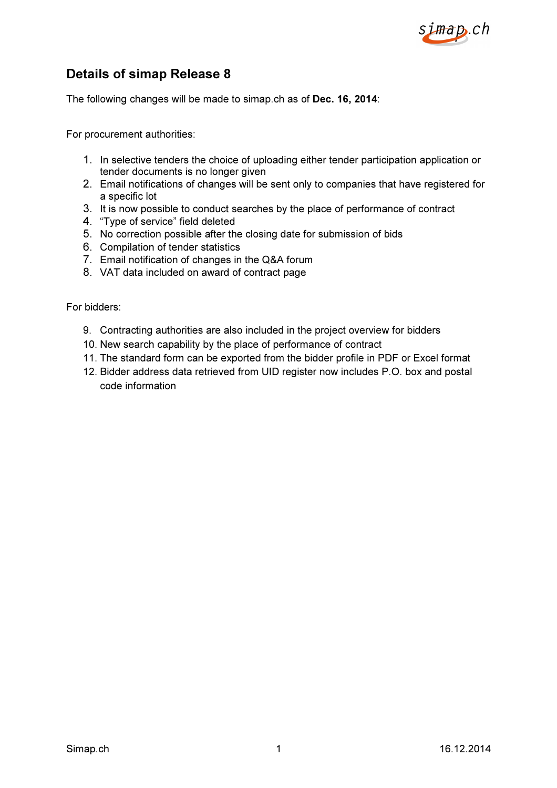

# Details of simap Release 8

The following changes will be made to simap.ch as of Dec. 16, 2014:

For procurement authorities:

- 1. In selective tenders the choice of uploading either tender participation application or tender documents is no longer given
- 2. Email notifications of changes will be sent only to companies that have registered for a specific lot
- 3. It is now possible to conduct searches by the place of performance of contract
- 4. "Type of service" field deleted
- 5. No correction possible after the closing date for submission of bids
- 6. Compilation of tender statistics
- 7. Email notification of changes in the Q&A forum
- 8. VAT data included on award of contract page

For bidders:

- 9. Contracting authorities are also included in the project overview for bidders
- 10. New search capability by the place of performance of contract
- 11. The standard form can be exported from the bidder profile in PDF or Excel format
- 12. Bidder address data retrieved from UID register now includes P.O. box and postal code information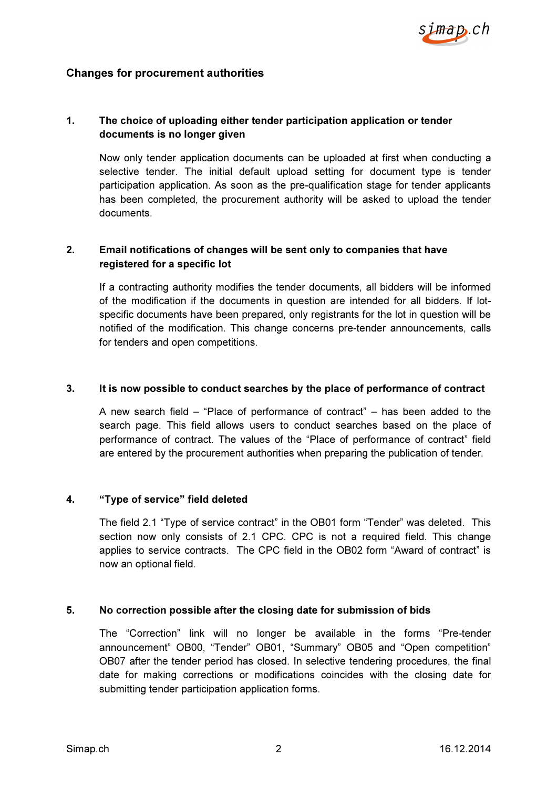

### Changes for procurement authorities

# 1. The choice of uploading either tender participation application or tender documents is no longer given

Now only tender application documents can be uploaded at first when conducting a selective tender. The initial default upload setting for document type is tender participation application. As soon as the pre-qualification stage for tender applicants has been completed, the procurement authority will be asked to upload the tender documents.

## 2. Email notifications of changes will be sent only to companies that have registered for a specific lot

If a contracting authority modifies the tender documents, all bidders will be informed of the modification if the documents in question are intended for all bidders. If lotspecific documents have been prepared, only registrants for the lot in question will be notified of the modification. This change concerns pre-tender announcements, calls for tenders and open competitions.

#### 3. It is now possible to conduct searches by the place of performance of contract

A new search field – "Place of performance of contract" – has been added to the search page. This field allows users to conduct searches based on the place of performance of contract. The values of the "Place of performance of contract" field are entered by the procurement authorities when preparing the publication of tender.

#### 4. "Type of service" field deleted

The field 2.1 "Type of service contract" in the OB01 form "Tender" was deleted. This section now only consists of 2.1 CPC. CPC is not a required field. This change applies to service contracts. The CPC field in the OB02 form "Award of contract" is now an optional field.

#### 5. No correction possible after the closing date for submission of bids

The "Correction" link will no longer be available in the forms "Pre-tender announcement" OB00, "Tender" OB01, "Summary" OB05 and "Open competition" OB07 after the tender period has closed. In selective tendering procedures, the final date for making corrections or modifications coincides with the closing date for submitting tender participation application forms.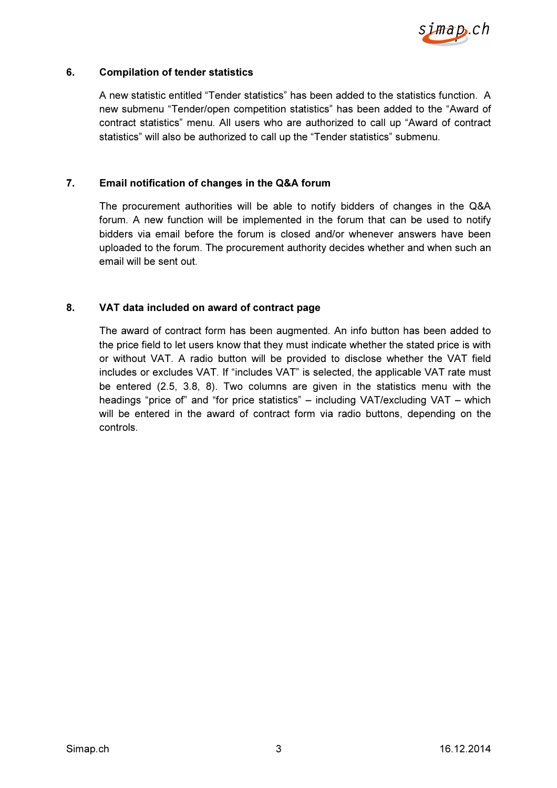

#### 6. Compilation of tender statistics

A new statistic entitled "Tender statistics" has been added to the statistics function. A new submenu "Tender/open competition statistics" has been added to the "Award of contract statistics" menu. All users who are authorized to call up "Award of contract statistics" will also be authorized to call up the "Tender statistics" submenu.

#### 7. Email notification of changes in the Q&A forum

The procurement authorities will be able to notify bidders of changes in the Q&A forum. A new function will be implemented in the forum that can be used to notify bidders via email before the forum is closed and/or whenever answers have been uploaded to the forum. The procurement authority decides whether and when such an email will be sent out.

#### 8. VAT data included on award of contract page

The award of contract form has been augmented. An info button has been added to the price field to let users know that they must indicate whether the stated price is with or without VAT. A radio button will be provided to disclose whether the VAT field includes or excludes VAT. If "includes VAT" is selected, the applicable VAT rate must be entered (2.5, 3.8, 8). Two columns are given in the statistics menu with the headings "price of" and "for price statistics" – including VAT/excluding VAT – which will be entered in the award of contract form via radio buttons, depending on the controls.